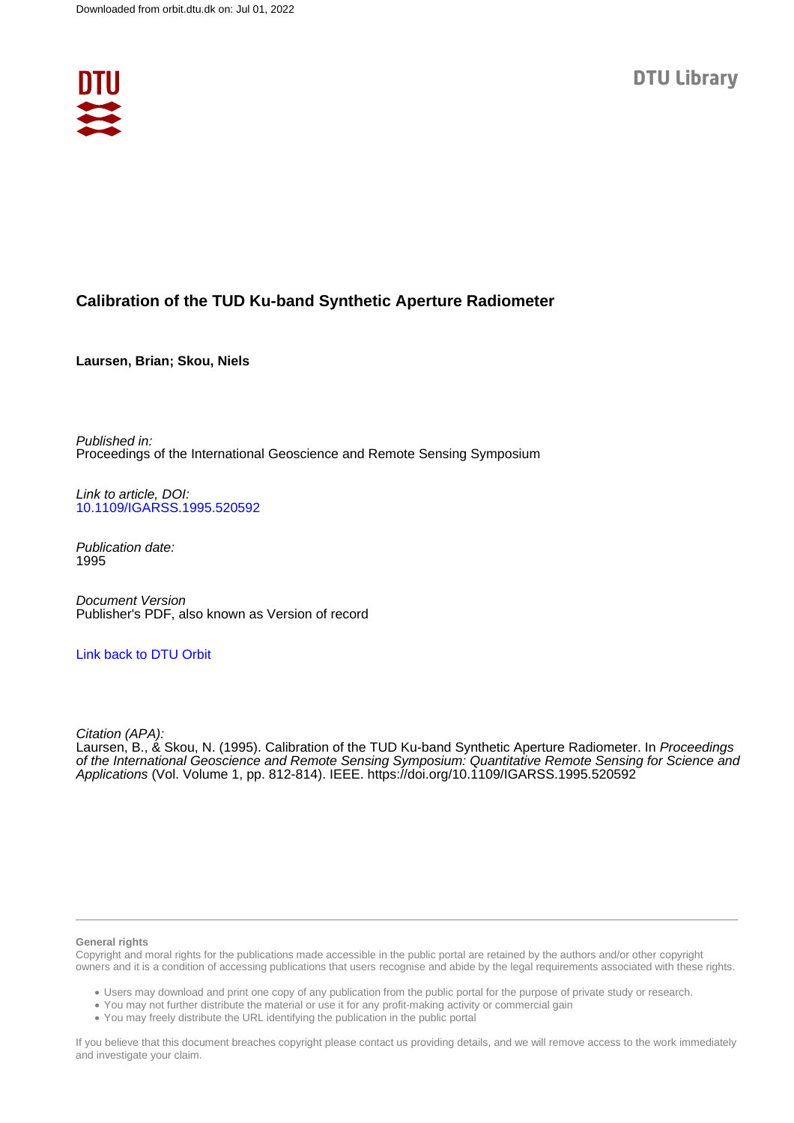

# **Calibration of the TUD Ku-band Synthetic Aperture Radiometer**

**Laursen, Brian; Skou, Niels**

Published in: Proceedings of the International Geoscience and Remote Sensing Symposium

Link to article, DOI: [10.1109/IGARSS.1995.520592](https://doi.org/10.1109/IGARSS.1995.520592)

Publication date: 1995

Document Version Publisher's PDF, also known as Version of record

## [Link back to DTU Orbit](https://orbit.dtu.dk/en/publications/c56e4a64-c8c8-4f83-bd5c-0f8a8d3f4895)

Citation (APA):

Laursen, B., & Skou, N. (1995). Calibration of the TUD Ku-band Synthetic Aperture Radiometer. In Proceedings of the International Geoscience and Remote Sensing Symposium: Quantitative Remote Sensing for Science and Applications (Vol. Volume 1, pp. 812-814). IEEE.<https://doi.org/10.1109/IGARSS.1995.520592>

#### **General rights**

Copyright and moral rights for the publications made accessible in the public portal are retained by the authors and/or other copyright owners and it is a condition of accessing publications that users recognise and abide by the legal requirements associated with these rights.

Users may download and print one copy of any publication from the public portal for the purpose of private study or research.

- You may not further distribute the material or use it for any profit-making activity or commercial gain
- You may freely distribute the URL identifying the publication in the public portal

If you believe that this document breaches copyright please contact us providing details, and we will remove access to the work immediately and investigate your claim.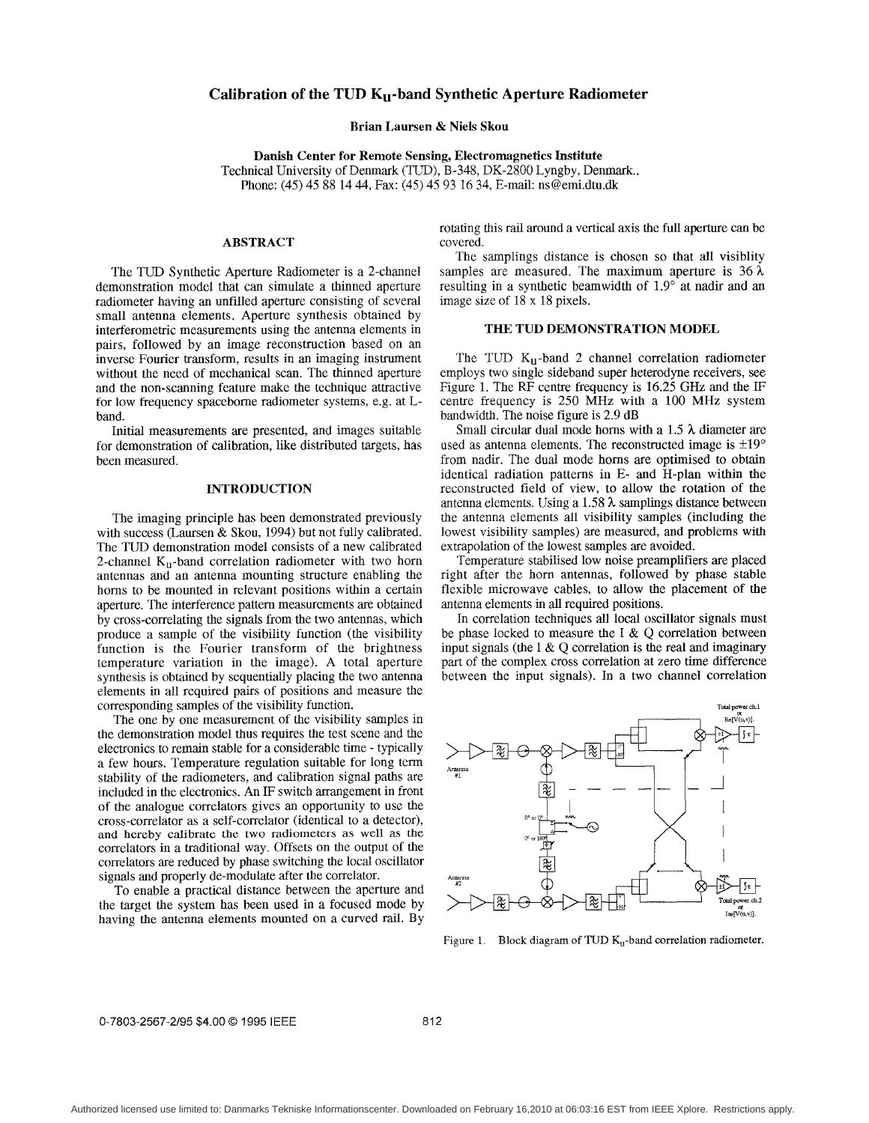### <span id="page-1-0"></span>**Calibration of the TUD Ku-band Synthetic Aperture Radiometer**

**Brian Laursen** & **Niels Skou** 

**Danish Center for Remote Sensing, Electromagnetics Institute**  Technical University of Denmark (TUD), B-348, DK-2800 Lyngby, Denmark.. Phone: (45) 45 88 14 44, Fax: (45) 45 93 16 34, E-mail: ns@emi.dtu.dk

#### **ABSTRACT**

The TUD Synthetic Aperture Radiometer is a 2-channel demonstration model that can simulate a thinned aperture radiometer having an unfilled aperture consisting of several small antenna elements. Aperture synthesis obtained by interferometric measurements using the antenna elements in pairs, followed by an image reconstruction based on an inverse Fourier transform, results in an imaging instrument without the need of mechanical scan. The thinned aperture and the non-scanning feature make the technique attractive for low frequency spaceborne radiometer systems, e.g. at Lband.

Initial measurements are presented, and images suitable for demonstration of calibration, like distributed targets, has been measured.

#### **INTRODUCTION**

The imaging principle has been demonstrated previously with success (Laursen & Skou, 1994) but not fully calibrated. The TUD demonstration model consists of a new calibrated 2-channel  $K_{11}$ -band correlation radiometer with two horn antennas and an antenna mounting structure enabling the horns to be mounted in relevant positions within a certain aperture. The interference pattern measurements are obtained by cross-correlating the signals from the two antennas, which produce a sample of the visibility function (the visibility function is the Fourier transform of the brightness temperature variation in the image). **A** total aperture synthesis is obtained by sequentially placing the two antenna elements in all required pairs of positions and measure the corresponding samples of the visibility function.

The one by one measurement of the visibility samples in the demonstration model thus requires the test scene and the electronics to remain stable for a considerable time - typically a few hours. Temperature regulation suitable for long term stability of the radiometers, and calibration signal paths are included in the electronics. An IF switch arrangement in front of the analogue correlators gives an opportunity to use the cross-correlator as a self-correlator (identical to a detector), and hereby calibrate *the* two radiometers **as** well as the correlators in a traditional way. Offsets on the output of the correlators are reduced by phase switching the local oscillator signals and properly de-modulate after the correlator.

To enable a practical distance between the aperture and the target the system has been used in a focused mode by having the antenna elements mounted on a curved rail. By rotating this rad around a vertical axis the full aperture can be covered.

The samplings distance is chosen so that all visiblity samples are measured. The maximum aperture is  $36 \lambda$ resulting in a synthetic beamwidth of  $1.9^\circ$  at nadir and an image size of 18 x 18 pixels.

#### THE **TUD DEMONSTRATION MODEL**

The TUD  $K_{\text{II}}$ -band 2 channel correlation radiometer employs two single sideband super heterodyne receivers, see Figure 1. The RF centre frequency is 16.25 GHz and the IF centre frequency is 250 MHz with a 100 MHz system bandwidth. The noise figure is 2.9 **dB** 

Small circular dual mode horns with a 1.5 *h* diameter are used as antenna elements. The reconstructed image is  $\pm 19^{\circ}$ from nadir. The **dual** mode horns are optimised to obtain identical radiation patterns in E- and H-plan within the reconstructed field of view, to allow the rotation of the antenna elements. Using a 1.58 *h* samplings distance between the antenna elements all visibility samples (including the lowest visibility samples) are measured, and problems with extrapolation of the lowest samples are avoided.

Temperature stabilised low noise preamplifiers are placed right after the horn antennas, followed by phase stable flexible microwave cables, to allow the placement of the antenna elements in all required positions.

In correlation techniques all local oscillator signals must be phase locked to measure the I  $&$  O correlation between input signals (the I  $& Q$  correlation is the real and imaginary part of the complex cross correlation at zero time difference between the input signals). In a two channel correlation



Figure 1. Block diagram of TUD  $K_{\text{u}}$ -band correlation radiometer.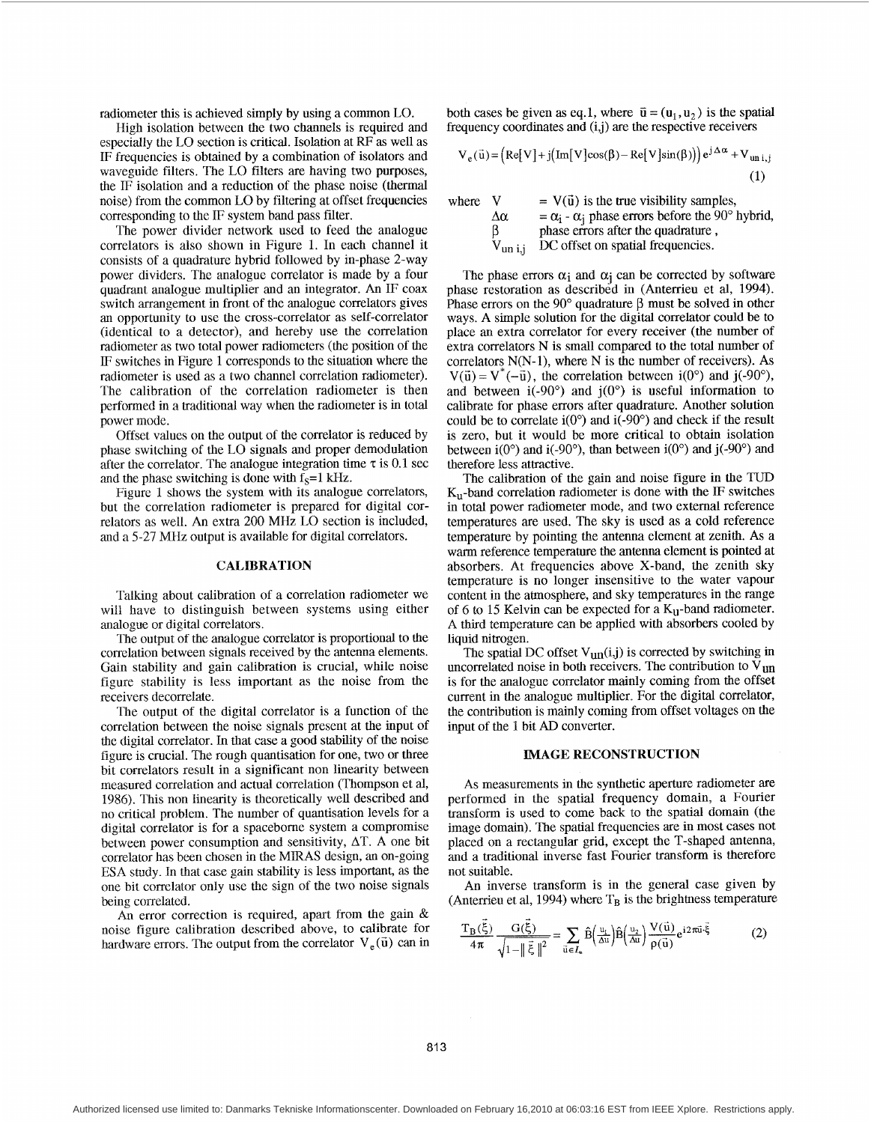radiometer this is achieved simply by using a common LO.

High isolation between the two channels is required and especially the LO section is critical. Isolation at RF **as** well as IF frequencies is obtained by a combination of isolators and waveguide filters. The LO filters are having two purposes, the IF isolation and a reduction of the phase noise (thermal noise) from the common LO by filtering at offset frequencies corresponding to the IF system band pass filter.

The power divider network used to feed the analogue correlators is also shown in [Figure 1.](#page-1-0) In each channel it consists of a quadrature hybrid followed by in-phase 2-way power dividers. The analogue correlator is made by a four quadrant analogue multiplier and an integrator. An IF coax switch arrangement in front of the analogue correlators gives an opportunity to use the cross-correlator as self-correlator (identical to a detector), and hereby use the correlation radiometer **as** two total power radiometers (the position of the IF switches in [Figure 1](#page-1-0) corresponds to the situation where the radiometer is used as a two channel correlation radiometer). The calibration of the correlation radiometer is then performed in a traditional way when the radiometer is in total power mode.

Offset values on the output of the correlator is reduced by phase switching of the LO signals and proper demodulation after the correlator. The analogue integration time  $\tau$  is 0.1 sec and the phase switching is done with  $f_s$ =1 kHz.

[Figure 1](#page-1-0) shows the system with its analogue correlators, but the correlation radiometer is prepared for digital correlators as well. An extra 200 **MHz** LO section is included, and a 5-27 MHz output is available for digital correlators.

#### **CALIBRATION**

Talking about calibration of a correlation radiometer we will have to distinguish between systems using either analogue or digital correlators.

The output of the analogue correlator is proportional to the correlation between signals received by the antenna elements. Gain stability and gain calibration is crucial, while noise figure stability is less important as the noise from the receivers decorrelate.

The output of the digital correlator is a function of the Correlation between the noise signals present at the input of the digital correlator. In that case a good stability of the noise figure is crucial. The rough quantisation for one, two or three bit correlators result in a significant non linearity between measured correlation and actual correlation (Thompson et al, 1986). This non linearity is theoretically well described and no critical problem. The number of quantisation levels for a digital correlator is for a spacebome system a compromise between power consumption and sensitivity, AT. **A** one bit correlator has been chosen in the **MIRAS** design, an on-going ESA study. In that case gain stability is less important, **as** the one bit correlator only use the sign of the two noise signals being correlated.

An error correction is required, apat from the gain & noise figure calibration described above, to calibrate for hardware errors. The output from the correlator  $V_e(\vec{u})$  can in both cases be given as eq.1, where  $\vec{u} = (u_1, u_2)$  is the spatial frequency coordinates and  $(i,j)$  are the respective receivers

$$
V_e(\vec{u}) = (Re[V] + j(Im[V]cos(\beta) - Re[V]sin(\beta))]e^{j\Delta\alpha} + V_{un i,j}
$$
\n(1)

| where | - V          | $=$ V( $\vec{u}$ ) is the true visibility samples,          |
|-------|--------------|-------------------------------------------------------------|
|       | Δα           | $= \alpha_i - \alpha_i$ phase errors before the 90° hybrid, |
|       |              | phase errors after the quadrature,                          |
|       | $V_{un i,j}$ | DC offset on spatial frequencies.                           |

The phase errors  $\alpha_i$  and  $\alpha_j$  can be corrected by software phase restoration as described in (Anterrieu et al, 1994). Phase errors on the  $90^{\circ}$  quadrature  $\beta$  must be solved in other ways. A simple solution for the digital correlator could be to place **an** extra correlator for every receiver (the number of extra correlators N is small compared to the total number of correlator: N(N-1), where N is the number of receivers). **As**   $V(\vec{u}) = V^*(-\vec{u})$ , the correlation between i(0°) and j(-90°), and between  $i(-90^{\circ})$  and  $j(0^{\circ})$  is useful information to calibrate for phase errors after quadrature. Another solution could be to correlate  $i(0^{\circ})$  and  $i(-90^{\circ})$  and check if the result is zero, but it would be more critical to obtain isolation between i( $0^{\circ}$ ) and i(-90°), than between i( $0^{\circ}$ ) and j(-90°) and therefore less attractive.

The calibration of the gain and noise figure in the TUD  $K_u$ -band correlation radiometer is done with the IF switches in total power radiometer mode, and two external reference temperatures are used. The sky is used as a cold reference temperature by pointing the antenna element at zenith. As a warm reference temperature the antenna element is pointed at absorbers. At frequencies above X-band, the zenith sky temperature is no longer insensitive to the water vapour content in the atmosphere, and sky temperatures in the range of 6 to 15 Kelvin can be expected for a  $K_{\text{u}}$ -band radiometer. **A** third temperature can be applied with absorbers cooled by liquid nitrogen.

The spatial DC offset  $V_{un}(i,j)$  is corrected by switching in uncorrelated noise in both receivers. The contribution to  $V_{\text{un}}$ is for the analogue correlator mainly coming from the offset current in the analogue multiplier. For the digital correlator, the contribution is mainly coming from offset voltages on the input of the 1 bit AD converter.

#### **IMAGE RECQNSTRUCTIQN**

**As** measurements in the synthetic aperture radiometer are performed in the spatial frequency domain, a Fourier transform is used to come back to the spatial domain (the image domain). The spatial frequencies are in most cases not placed on a rectangular grid, except the T-shaped antenna, and a traditional inverse fast Fourier transform is therefore not suitable.

An inverse transform is in the general case given by (Anterrieu et al, 1994) where  $T_B$  is the brightness temperature

$$
\frac{T_B(\xi)}{4\pi} \frac{G(\xi)}{\sqrt{1-\|\xi\|^2}} = \sum_{\vec{u}\in\mathcal{I}_*} \hat{B}\left(\frac{u_1}{\Delta u}\right) \hat{B}\left(\frac{u_2}{\Delta u}\right) \frac{V(\vec{u})}{\rho(\vec{u})} e^{i2\pi \vec{u}\cdot\vec{\xi}}
$$
(2)